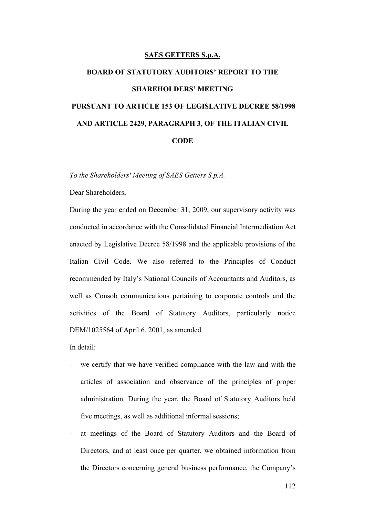#### **SAES GETTERS S.p.A.**

# **BOARD OF STATUTORY AUDITORS' REPORT TO THE SHAREHOLDERS' MEETING PURSUANT TO ARTICLE 153 OF LEGISLATIVE DECREE 58/1998 AND ARTICLE 2429, PARAGRAPH 3, OF THE ITALIAN CIVIL CODE**

*To the Shareholders' Meeting of SAES Getters S.p.A.* 

Dear Shareholders,

During the year ended on December 31, 2009, our supervisory activity was conducted in accordance with the Consolidated Financial Intermediation Act enacted by Legislative Decree 58/1998 and the applicable provisions of the Italian Civil Code. We also referred to the Principles of Conduct recommended by Italy's National Councils of Accountants and Auditors, as well as Consob communications pertaining to corporate controls and the activities of the Board of Statutory Auditors, particularly notice DEM/1025564 of April 6, 2001, as amended.

In detail:

- we certify that we have verified compliance with the law and with the articles of association and observance of the principles of proper administration. During the year, the Board of Statutory Auditors held five meetings, as well as additional informal sessions;
- at meetings of the Board of Statutory Auditors and the Board of Directors, and at least once per quarter, we obtained information from the Directors concerning general business performance, the Company's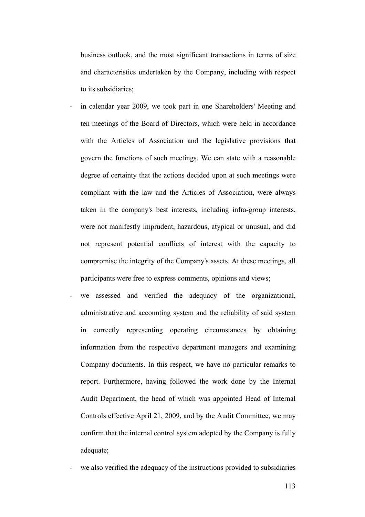business outlook, and the most significant transactions in terms of size and characteristics undertaken by the Company, including with respect to its subsidiaries;

- in calendar year 2009, we took part in one Shareholders' Meeting and ten meetings of the Board of Directors, which were held in accordance with the Articles of Association and the legislative provisions that govern the functions of such meetings. We can state with a reasonable degree of certainty that the actions decided upon at such meetings were compliant with the law and the Articles of Association, were always taken in the company's best interests, including infra-group interests, were not manifestly imprudent, hazardous, atypical or unusual, and did not represent potential conflicts of interest with the capacity to compromise the integrity of the Company's assets. At these meetings, all participants were free to express comments, opinions and views;
- we assessed and verified the adequacy of the organizational, administrative and accounting system and the reliability of said system in correctly representing operating circumstances by obtaining information from the respective department managers and examining Company documents. In this respect, we have no particular remarks to report. Furthermore, having followed the work done by the Internal Audit Department, the head of which was appointed Head of Internal Controls effective April 21, 2009, and by the Audit Committee, we may confirm that the internal control system adopted by the Company is fully adequate;
- we also verified the adequacy of the instructions provided to subsidiaries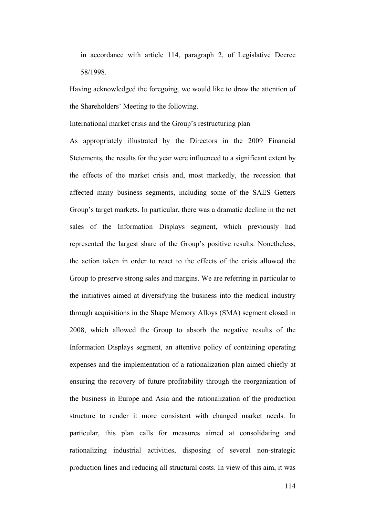in accordance with article 114, paragraph 2, of Legislative Decree 58/1998.

Having acknowledged the foregoing, we would like to draw the attention of the Shareholders' Meeting to the following.

#### International market crisis and the Group's restructuring plan

As appropriately illustrated by the Directors in the 2009 Financial Stetements, the results for the year were influenced to a significant extent by the effects of the market crisis and, most markedly, the recession that affected many business segments, including some of the SAES Getters Group's target markets. In particular, there was a dramatic decline in the net sales of the Information Displays segment, which previously had represented the largest share of the Group's positive results. Nonetheless, the action taken in order to react to the effects of the crisis allowed the Group to preserve strong sales and margins. We are referring in particular to the initiatives aimed at diversifying the business into the medical industry through acquisitions in the Shape Memory Alloys (SMA) segment closed in 2008, which allowed the Group to absorb the negative results of the Information Displays segment, an attentive policy of containing operating expenses and the implementation of a rationalization plan aimed chiefly at ensuring the recovery of future profitability through the reorganization of the business in Europe and Asia and the rationalization of the production structure to render it more consistent with changed market needs. In particular, this plan calls for measures aimed at consolidating and rationalizing industrial activities, disposing of several non-strategic production lines and reducing all structural costs. In view of this aim, it was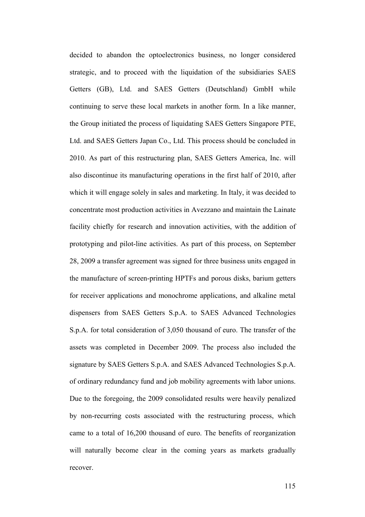decided to abandon the optoelectronics business, no longer considered strategic, and to proceed with the liquidation of the subsidiaries SAES Getters (GB), Ltd. and SAES Getters (Deutschland) GmbH while continuing to serve these local markets in another form. In a like manner, the Group initiated the process of liquidating SAES Getters Singapore PTE, Ltd. and SAES Getters Japan Co., Ltd. This process should be concluded in 2010. As part of this restructuring plan, SAES Getters America, Inc. will also discontinue its manufacturing operations in the first half of 2010, after which it will engage solely in sales and marketing. In Italy, it was decided to concentrate most production activities in Avezzano and maintain the Lainate facility chiefly for research and innovation activities, with the addition of prototyping and pilot-line activities. As part of this process, on September 28, 2009 a transfer agreement was signed for three business units engaged in the manufacture of screen-printing HPTFs and porous disks, barium getters for receiver applications and monochrome applications, and alkaline metal dispensers from SAES Getters S.p.A. to SAES Advanced Technologies S.p.A. for total consideration of 3,050 thousand of euro. The transfer of the assets was completed in December 2009. The process also included the signature by SAES Getters S.p.A. and SAES Advanced Technologies S.p.A. of ordinary redundancy fund and job mobility agreements with labor unions. Due to the foregoing, the 2009 consolidated results were heavily penalized by non-recurring costs associated with the restructuring process, which came to a total of 16,200 thousand of euro. The benefits of reorganization will naturally become clear in the coming years as markets gradually recover.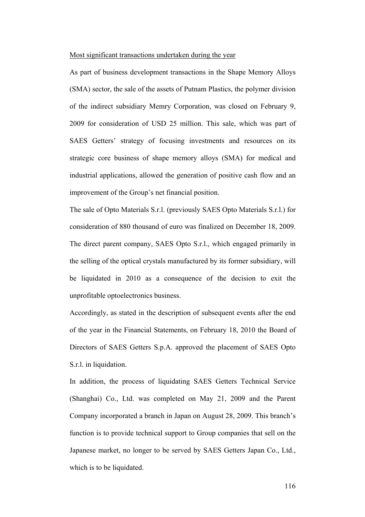#### Most significant transactions undertaken during the year

As part of business development transactions in the Shape Memory Alloys (SMA) sector, the sale of the assets of Putnam Plastics, the polymer division of the indirect subsidiary Memry Corporation, was closed on February 9, 2009 for consideration of USD 25 million. This sale, which was part of SAES Getters' strategy of focusing investments and resources on its strategic core business of shape memory alloys (SMA) for medical and industrial applications, allowed the generation of positive cash flow and an improvement of the Group's net financial position.

The sale of Opto Materials S.r.l. (previously SAES Opto Materials S.r.l.) for consideration of 880 thousand of euro was finalized on December 18, 2009. The direct parent company, SAES Opto S.r.l., which engaged primarily in the selling of the optical crystals manufactured by its former subsidiary, will be liquidated in 2010 as a consequence of the decision to exit the unprofitable optoelectronics business.

Accordingly, as stated in the description of subsequent events after the end of the year in the Financial Statements, on February 18, 2010 the Board of Directors of SAES Getters S.p.A. approved the placement of SAES Opto S.r.l. in liquidation.

In addition, the process of liquidating SAES Getters Technical Service (Shanghai) Co., Ltd. was completed on May 21, 2009 and the Parent Company incorporated a branch in Japan on August 28, 2009. This branch's function is to provide technical support to Group companies that sell on the Japanese market, no longer to be served by SAES Getters Japan Co., Ltd., which is to be liquidated.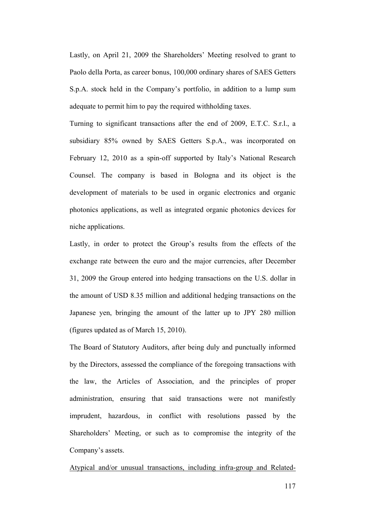Lastly, on April 21, 2009 the Shareholders' Meeting resolved to grant to Paolo della Porta, as career bonus, 100,000 ordinary shares of SAES Getters S.p.A. stock held in the Company's portfolio, in addition to a lump sum adequate to permit him to pay the required withholding taxes.

Turning to significant transactions after the end of 2009, E.T.C. S.r.l., a subsidiary 85% owned by SAES Getters S.p.A., was incorporated on February 12, 2010 as a spin-off supported by Italy's National Research Counsel. The company is based in Bologna and its object is the development of materials to be used in organic electronics and organic photonics applications, as well as integrated organic photonics devices for niche applications.

Lastly, in order to protect the Group's results from the effects of the exchange rate between the euro and the major currencies, after December 31, 2009 the Group entered into hedging transactions on the U.S. dollar in the amount of USD 8.35 million and additional hedging transactions on the Japanese yen, bringing the amount of the latter up to JPY 280 million (figures updated as of March 15, 2010).

The Board of Statutory Auditors, after being duly and punctually informed by the Directors, assessed the compliance of the foregoing transactions with the law, the Articles of Association, and the principles of proper administration, ensuring that said transactions were not manifestly imprudent, hazardous, in conflict with resolutions passed by the Shareholders' Meeting, or such as to compromise the integrity of the Company's assets.

Atypical and/or unusual transactions, including infra-group and Related-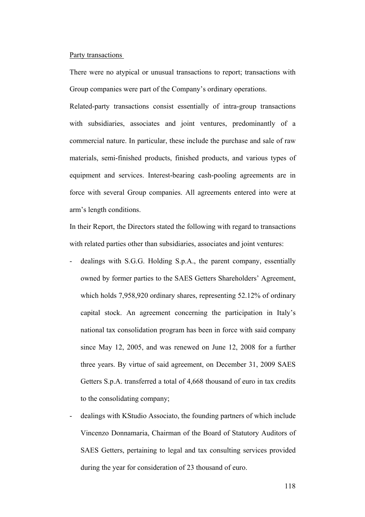#### Party transactions

There were no atypical or unusual transactions to report; transactions with Group companies were part of the Company's ordinary operations.

Related-party transactions consist essentially of intra-group transactions with subsidiaries, associates and joint ventures, predominantly of a commercial nature. In particular, these include the purchase and sale of raw materials, semi-finished products, finished products, and various types of equipment and services. Interest-bearing cash-pooling agreements are in force with several Group companies. All agreements entered into were at arm's length conditions.

In their Report, the Directors stated the following with regard to transactions with related parties other than subsidiaries, associates and joint ventures:

- dealings with S.G.G. Holding S.p.A., the parent company, essentially owned by former parties to the SAES Getters Shareholders' Agreement, which holds 7,958,920 ordinary shares, representing 52.12% of ordinary capital stock. An agreement concerning the participation in Italy's national tax consolidation program has been in force with said company since May 12, 2005, and was renewed on June 12, 2008 for a further three years. By virtue of said agreement, on December 31, 2009 SAES Getters S.p.A. transferred a total of 4,668 thousand of euro in tax credits to the consolidating company;
- dealings with KStudio Associato, the founding partners of which include Vincenzo Donnamaria, Chairman of the Board of Statutory Auditors of SAES Getters, pertaining to legal and tax consulting services provided during the year for consideration of 23 thousand of euro.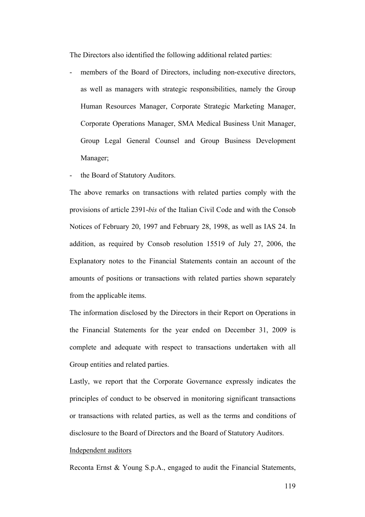The Directors also identified the following additional related parties:

- members of the Board of Directors, including non-executive directors, as well as managers with strategic responsibilities, namely the Group Human Resources Manager, Corporate Strategic Marketing Manager, Corporate Operations Manager, SMA Medical Business Unit Manager, Group Legal General Counsel and Group Business Development Manager;
- the Board of Statutory Auditors.

The above remarks on transactions with related parties comply with the provisions of article 2391-*bis* of the Italian Civil Code and with the Consob Notices of February 20, 1997 and February 28, 1998, as well as IAS 24. In addition, as required by Consob resolution 15519 of July 27, 2006, the Explanatory notes to the Financial Statements contain an account of the amounts of positions or transactions with related parties shown separately from the applicable items.

The information disclosed by the Directors in their Report on Operations in the Financial Statements for the year ended on December 31, 2009 is complete and adequate with respect to transactions undertaken with all Group entities and related parties.

Lastly, we report that the Corporate Governance expressly indicates the principles of conduct to be observed in monitoring significant transactions or transactions with related parties, as well as the terms and conditions of disclosure to the Board of Directors and the Board of Statutory Auditors.

#### Independent auditors

Reconta Ernst & Young S.p.A., engaged to audit the Financial Statements,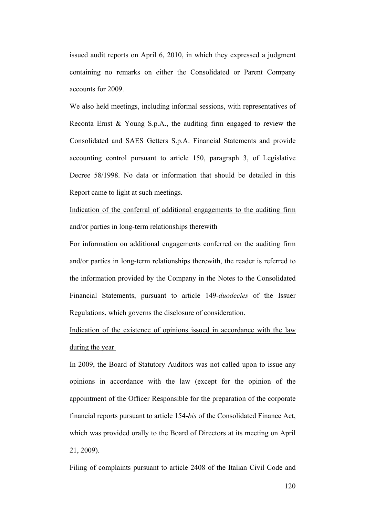issued audit reports on April 6, 2010, in which they expressed a judgment containing no remarks on either the Consolidated or Parent Company accounts for 2009.

We also held meetings, including informal sessions, with representatives of Reconta Ernst & Young S.p.A., the auditing firm engaged to review the Consolidated and SAES Getters S.p.A. Financial Statements and provide accounting control pursuant to article 150, paragraph 3, of Legislative Decree 58/1998. No data or information that should be detailed in this Report came to light at such meetings.

Indication of the conferral of additional engagements to the auditing firm and/or parties in long-term relationships therewith

For information on additional engagements conferred on the auditing firm and/or parties in long-term relationships therewith, the reader is referred to the information provided by the Company in the Notes to the Consolidated Financial Statements, pursuant to article 149-*duodecies* of the Issuer Regulations, which governs the disclosure of consideration.

Indication of the existence of opinions issued in accordance with the law during the year

In 2009, the Board of Statutory Auditors was not called upon to issue any opinions in accordance with the law (except for the opinion of the appointment of the Officer Responsible for the preparation of the corporate financial reports pursuant to article 154-*bis* of the Consolidated Finance Act, which was provided orally to the Board of Directors at its meeting on April 21, 2009).

Filing of complaints pursuant to article 2408 of the Italian Civil Code and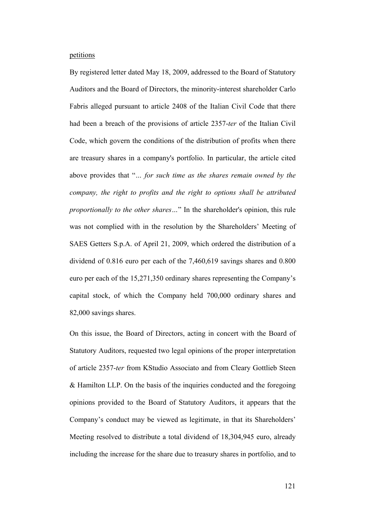### petitions

By registered letter dated May 18, 2009, addressed to the Board of Statutory Auditors and the Board of Directors, the minority-interest shareholder Carlo Fabris alleged pursuant to article 2408 of the Italian Civil Code that there had been a breach of the provisions of article 2357-*ter* of the Italian Civil Code, which govern the conditions of the distribution of profits when there are treasury shares in a company's portfolio. In particular, the article cited above provides that "*… for such time as the shares remain owned by the company, the right to profits and the right to options shall be attributed proportionally to the other shares…*" In the shareholder's opinion, this rule was not complied with in the resolution by the Shareholders' Meeting of SAES Getters S.p.A. of April 21, 2009, which ordered the distribution of a dividend of 0.816 euro per each of the 7,460,619 savings shares and 0.800 euro per each of the 15,271,350 ordinary shares representing the Company's capital stock, of which the Company held 700,000 ordinary shares and 82,000 savings shares.

On this issue, the Board of Directors, acting in concert with the Board of Statutory Auditors, requested two legal opinions of the proper interpretation of article 2357-*ter* from KStudio Associato and from Cleary Gottlieb Steen & Hamilton LLP. On the basis of the inquiries conducted and the foregoing opinions provided to the Board of Statutory Auditors, it appears that the Company's conduct may be viewed as legitimate, in that its Shareholders' Meeting resolved to distribute a total dividend of 18,304,945 euro, already including the increase for the share due to treasury shares in portfolio, and to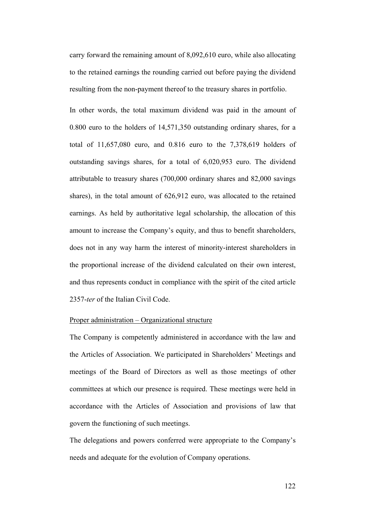carry forward the remaining amount of 8,092,610 euro, while also allocating to the retained earnings the rounding carried out before paying the dividend resulting from the non-payment thereof to the treasury shares in portfolio.

In other words, the total maximum dividend was paid in the amount of 0.800 euro to the holders of 14,571,350 outstanding ordinary shares, for a total of 11,657,080 euro, and 0.816 euro to the 7,378,619 holders of outstanding savings shares, for a total of 6,020,953 euro. The dividend attributable to treasury shares (700,000 ordinary shares and 82,000 savings shares), in the total amount of 626,912 euro, was allocated to the retained earnings. As held by authoritative legal scholarship, the allocation of this amount to increase the Company's equity, and thus to benefit shareholders, does not in any way harm the interest of minority-interest shareholders in the proportional increase of the dividend calculated on their own interest, and thus represents conduct in compliance with the spirit of the cited article 2357-*ter* of the Italian Civil Code.

## Proper administration – Organizational structure

The Company is competently administered in accordance with the law and the Articles of Association. We participated in Shareholders' Meetings and meetings of the Board of Directors as well as those meetings of other committees at which our presence is required. These meetings were held in accordance with the Articles of Association and provisions of law that govern the functioning of such meetings.

The delegations and powers conferred were appropriate to the Company's needs and adequate for the evolution of Company operations.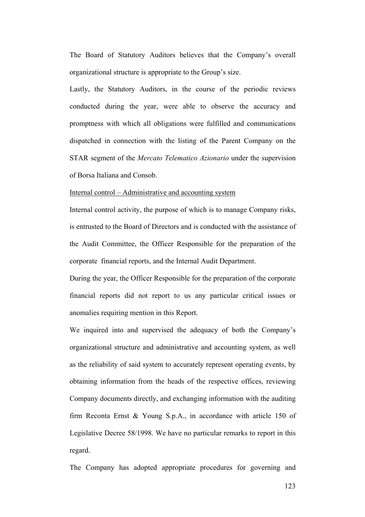The Board of Statutory Auditors believes that the Company's overall organizational structure is appropriate to the Group's size.

Lastly, the Statutory Auditors, in the course of the periodic reviews conducted during the year, were able to observe the accuracy and promptness with which all obligations were fulfilled and communications dispatched in connection with the listing of the Parent Company on the STAR segment of the *Mercato Telematico Azionario* under the supervision of Borsa Italiana and Consob.

## Internal control – Administrative and accounting system

Internal control activity, the purpose of which is to manage Company risks, is entrusted to the Board of Directors and is conducted with the assistance of the Audit Committee, the Officer Responsible for the preparation of the corporate financial reports, and the Internal Audit Department.

During the year, the Officer Responsible for the preparation of the corporate financial reports did not report to us any particular critical issues or anomalies requiring mention in this Report.

We inquired into and supervised the adequacy of both the Company's organizational structure and administrative and accounting system, as well as the reliability of said system to accurately represent operating events, by obtaining information from the heads of the respective offices, reviewing Company documents directly, and exchanging information with the auditing firm Reconta Ernst & Young S.p.A., in accordance with article 150 of Legislative Decree 58/1998. We have no particular remarks to report in this regard.

The Company has adopted appropriate procedures for governing and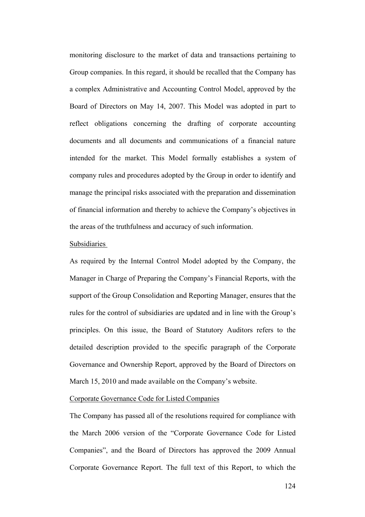monitoring disclosure to the market of data and transactions pertaining to Group companies. In this regard, it should be recalled that the Company has a complex Administrative and Accounting Control Model, approved by the Board of Directors on May 14, 2007. This Model was adopted in part to reflect obligations concerning the drafting of corporate accounting documents and all documents and communications of a financial nature intended for the market. This Model formally establishes a system of company rules and procedures adopted by the Group in order to identify and manage the principal risks associated with the preparation and dissemination of financial information and thereby to achieve the Company's objectives in the areas of the truthfulness and accuracy of such information.

#### Subsidiaries

As required by the Internal Control Model adopted by the Company, the Manager in Charge of Preparing the Company's Financial Reports, with the support of the Group Consolidation and Reporting Manager, ensures that the rules for the control of subsidiaries are updated and in line with the Group's principles. On this issue, the Board of Statutory Auditors refers to the detailed description provided to the specific paragraph of the Corporate Governance and Ownership Report, approved by the Board of Directors on March 15, 2010 and made available on the Company's website.

## Corporate Governance Code for Listed Companies

The Company has passed all of the resolutions required for compliance with the March 2006 version of the "Corporate Governance Code for Listed Companies", and the Board of Directors has approved the 2009 Annual Corporate Governance Report. The full text of this Report, to which the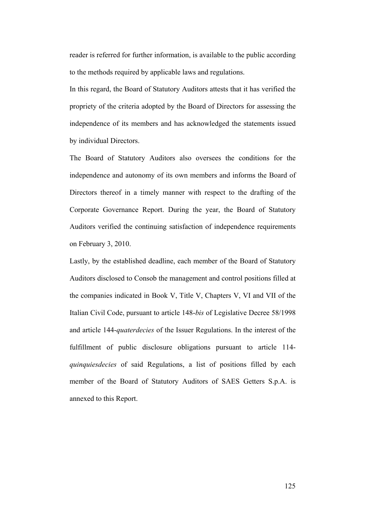reader is referred for further information, is available to the public according to the methods required by applicable laws and regulations.

In this regard, the Board of Statutory Auditors attests that it has verified the propriety of the criteria adopted by the Board of Directors for assessing the independence of its members and has acknowledged the statements issued by individual Directors.

The Board of Statutory Auditors also oversees the conditions for the independence and autonomy of its own members and informs the Board of Directors thereof in a timely manner with respect to the drafting of the Corporate Governance Report. During the year, the Board of Statutory Auditors verified the continuing satisfaction of independence requirements on February 3, 2010.

Lastly, by the established deadline, each member of the Board of Statutory Auditors disclosed to Consob the management and control positions filled at the companies indicated in Book V, Title V, Chapters V, VI and VII of the Italian Civil Code, pursuant to article 148-*bis* of Legislative Decree 58/1998 and article 144-*quaterdecies* of the Issuer Regulations. In the interest of the fulfillment of public disclosure obligations pursuant to article 114 *quinquiesdecies* of said Regulations, a list of positions filled by each member of the Board of Statutory Auditors of SAES Getters S.p.A. is annexed to this Report.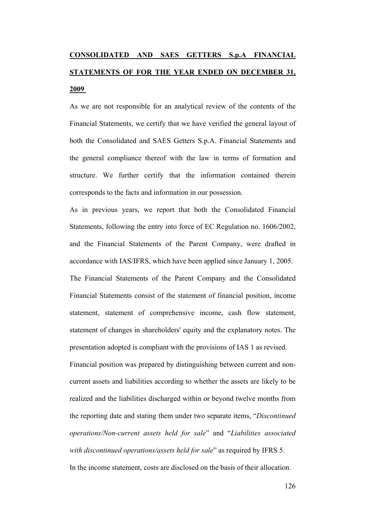## **CONSOLIDATED AND SAES GETTERS S.p.A FINANCIAL STATEMENTS OF FOR THE YEAR ENDED ON DECEMBER 31, 2009**

As we are not responsible for an analytical review of the contents of the Financial Statements, we certify that we have verified the general layout of both the Consolidated and SAES Getters S.p.A. Financial Statements and the general compliance thereof with the law in terms of formation and structure. We further certify that the information contained therein corresponds to the facts and information in our possession.

As in previous years, we report that both the Consolidated Financial Statements, following the entry into force of EC Regulation no. 1606/2002, and the Financial Statements of the Parent Company, were drafted in accordance with IAS/IFRS, which have been applied since January 1, 2005.

The Financial Statements of the Parent Company and the Consolidated Financial Statements consist of the statement of financial position, income statement, statement of comprehensive income, cash flow statement, statement of changes in shareholders' equity and the explanatory notes. The presentation adopted is compliant with the provisions of IAS 1 as revised.

Financial position was prepared by distinguishing between current and noncurrent assets and liabilities according to whether the assets are likely to be realized and the liabilities discharged within or beyond twelve months from the reporting date and stating them under two separate items, "*Discontinued operations/Non-current assets held for sale*" and "*Liabilities associated with discontinued operations/assets held for sale*" as required by IFRS 5. In the income statement, costs are disclosed on the basis of their allocation.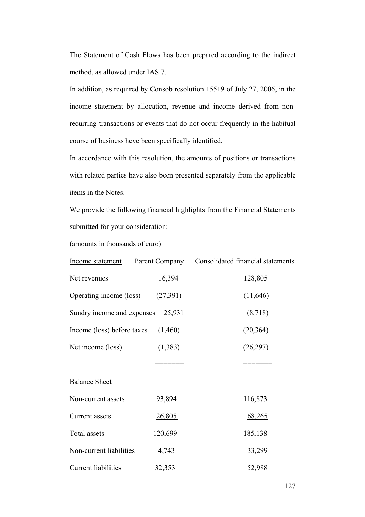The Statement of Cash Flows has been prepared according to the indirect method, as allowed under IAS 7.

In addition, as required by Consob resolution 15519 of July 27, 2006, in the income statement by allocation, revenue and income derived from nonrecurring transactions or events that do not occur frequently in the habitual course of business heve been specifically identified.

In accordance with this resolution, the amounts of positions or transactions with related parties have also been presented separately from the applicable items in the Notes.

We provide the following financial highlights from the Financial Statements submitted for your consideration:

(amounts in thousands of euro)

| Income statement                  |         | Parent Company Consolidated financial statements |
|-----------------------------------|---------|--------------------------------------------------|
| Net revenues                      | 16,394  | 128,805                                          |
| Operating income (loss) (27,391)  |         | (11, 646)                                        |
| Sundry income and expenses 25,931 |         | (8,718)                                          |
| Income (loss) before taxes        | (1,460) | (20, 364)                                        |
| Net income (loss)                 | (1,383) | (26,297)                                         |
|                                   |         |                                                  |
| <b>Balance Sheet</b>              |         |                                                  |
| Non-current assets                | 93,894  | 116,873                                          |
| Current assets                    | 26,805  | 68,265                                           |
| Total assets                      | 120,699 | 185,138                                          |
| Non-current liabilities           | 4,743   | 33,299                                           |
| Current liabilities               | 32,353  | 52,988                                           |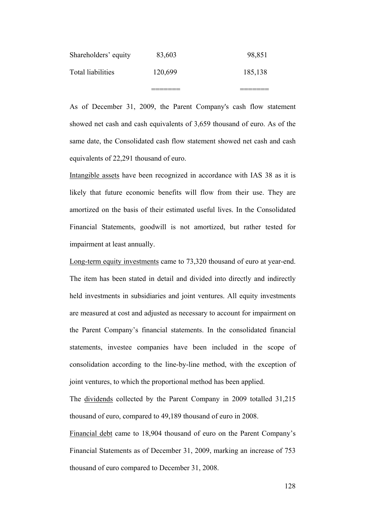| Total liabilities    | 120,699 | 185,138 |
|----------------------|---------|---------|
| Shareholders' equity | 83,603  | 98,851  |

As of December 31, 2009, the Parent Company's cash flow statement showed net cash and cash equivalents of 3,659 thousand of euro. As of the same date, the Consolidated cash flow statement showed net cash and cash equivalents of 22,291 thousand of euro.

Intangible assets have been recognized in accordance with IAS 38 as it is likely that future economic benefits will flow from their use. They are amortized on the basis of their estimated useful lives. In the Consolidated Financial Statements, goodwill is not amortized, but rather tested for impairment at least annually.

Long-term equity investments came to 73,320 thousand of euro at year-end. The item has been stated in detail and divided into directly and indirectly held investments in subsidiaries and joint ventures. All equity investments are measured at cost and adjusted as necessary to account for impairment on the Parent Company's financial statements. In the consolidated financial statements, investee companies have been included in the scope of consolidation according to the line-by-line method, with the exception of joint ventures, to which the proportional method has been applied.

The dividends collected by the Parent Company in 2009 totalled 31,215 thousand of euro, compared to 49,189 thousand of euro in 2008.

Financial debt came to 18,904 thousand of euro on the Parent Company's Financial Statements as of December 31, 2009, marking an increase of 753 thousand of euro compared to December 31, 2008.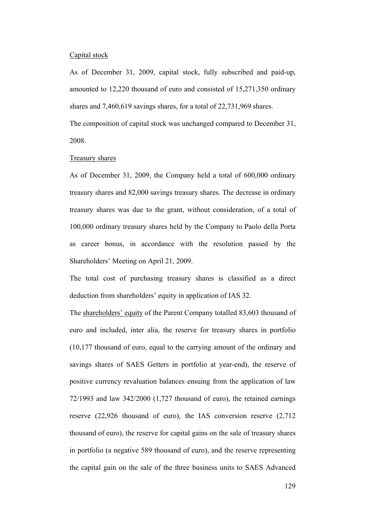#### Capital stock

As of December 31, 2009, capital stock, fully subscribed and paid-up, amounted to 12,220 thousand of euro and consisted of 15,271,350 ordinary shares and 7,460,619 savings shares, for a total of 22,731,969 shares. The composition of capital stock was unchanged compared to December 31,

2008.

## Treasury shares

As of December 31, 2009, the Company held a total of 600,000 ordinary treasury shares and 82,000 savings treasury shares. The decrease in ordinary treasury shares was due to the grant, without consideration, of a total of 100,000 ordinary treasury shares held by the Company to Paolo della Porta as career bonus, in accordance with the resolution passed by the Shareholders' Meeting on April 21, 2009.

The total cost of purchasing treasury shares is classified as a direct deduction from shareholders' equity in application of IAS 32.

The shareholders' equity of the Parent Company totalled 83,603 thousand of euro and included, inter alia, the reserve for treasury shares in portfolio (10,177 thousand of euro, equal to the carrying amount of the ordinary and savings shares of SAES Getters in portfolio at year-end), the reserve of positive currency revaluation balances ensuing from the application of law 72/1993 and law 342/2000 (1,727 thousand of euro), the retained earnings reserve (22,926 thousand of euro), the IAS conversion reserve (2,712 thousand of euro), the reserve for capital gains on the sale of treasury shares in portfolio (a negative 589 thousand of euro), and the reserve representing the capital gain on the sale of the three business units to SAES Advanced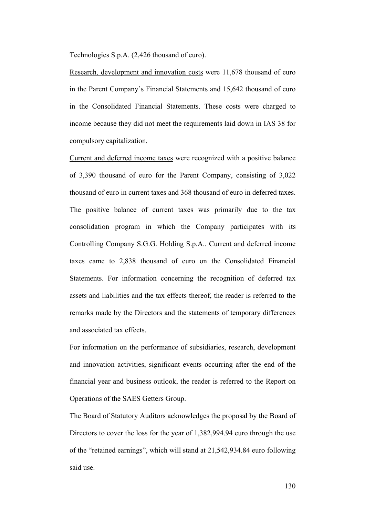Technologies S.p.A. (2,426 thousand of euro).

Research, development and innovation costs were 11,678 thousand of euro in the Parent Company's Financial Statements and 15,642 thousand of euro in the Consolidated Financial Statements. These costs were charged to income because they did not meet the requirements laid down in IAS 38 for compulsory capitalization.

Current and deferred income taxes were recognized with a positive balance of 3,390 thousand of euro for the Parent Company, consisting of 3,022 thousand of euro in current taxes and 368 thousand of euro in deferred taxes. The positive balance of current taxes was primarily due to the tax consolidation program in which the Company participates with its Controlling Company S.G.G. Holding S.p.A.. Current and deferred income taxes came to 2,838 thousand of euro on the Consolidated Financial Statements. For information concerning the recognition of deferred tax assets and liabilities and the tax effects thereof, the reader is referred to the remarks made by the Directors and the statements of temporary differences and associated tax effects.

For information on the performance of subsidiaries, research, development and innovation activities, significant events occurring after the end of the financial year and business outlook, the reader is referred to the Report on Operations of the SAES Getters Group.

The Board of Statutory Auditors acknowledges the proposal by the Board of Directors to cover the loss for the year of 1,382,994.94 euro through the use of the "retained earnings", which will stand at 21,542,934.84 euro following said use.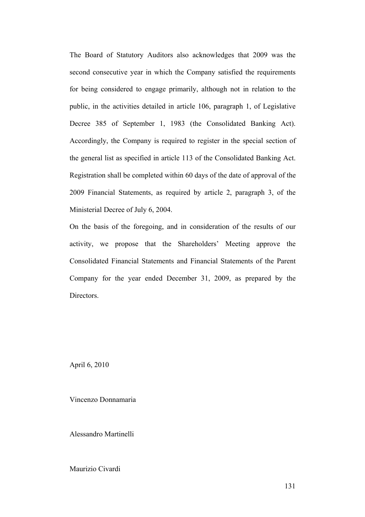The Board of Statutory Auditors also acknowledges that 2009 was the second consecutive year in which the Company satisfied the requirements for being considered to engage primarily, although not in relation to the public, in the activities detailed in article 106, paragraph 1, of Legislative Decree 385 of September 1, 1983 (the Consolidated Banking Act). Accordingly, the Company is required to register in the special section of the general list as specified in article 113 of the Consolidated Banking Act. Registration shall be completed within 60 days of the date of approval of the 2009 Financial Statements, as required by article 2, paragraph 3, of the Ministerial Decree of July 6, 2004.

On the basis of the foregoing, and in consideration of the results of our activity, we propose that the Shareholders' Meeting approve the Consolidated Financial Statements and Financial Statements of the Parent Company for the year ended December 31, 2009, as prepared by the Directors.

April 6, 2010

Vincenzo Donnamaria

Alessandro Martinelli

Maurizio Civardi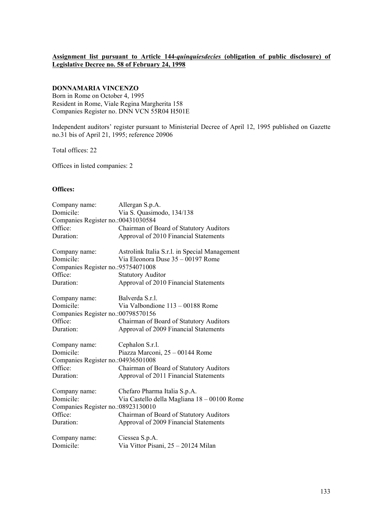## **Assignment list pursuant to Article 144-***quinquiesdecies* **(obligation of public disclosure) of Legislative Decree no. 58 of February 24, 1998**

## **DONNAMARIA VINCENZO**

Born in Rome on October 4, 1995 Resident in Rome, Viale Regina Margherita 158 Companies Register no. DNN VCN 55R04 H501E

Independent auditors' register pursuant to Ministerial Decree of April 12, 1995 published on Gazette no.31 bis of April 21, 1995; reference 20906

Total offices: 22

Offices in listed companies: 2

## **Offices:**

| Company name:                       | Allergan S.p.A.                               |
|-------------------------------------|-----------------------------------------------|
| Domicile:                           | Via S. Quasimodo, 134/138                     |
| Companies Register no.: 00431030584 |                                               |
| Office:                             | Chairman of Board of Statutory Auditors       |
| Duration:                           | Approval of 2010 Financial Statements         |
| Company name:                       | Astrolink Italia S.r.l. in Special Management |
| Domicile:                           | Via Eleonora Duse 35 - 00197 Rome             |
| Companies Register no.: 95754071008 |                                               |
| Office:                             | <b>Statutory Auditor</b>                      |
| Duration:                           | Approval of 2010 Financial Statements         |
| Company name:                       | Balverda S.r.l.                               |
| Domicile:                           | Via Valbondione 113 - 00188 Rome              |
| Companies Register no.:00798570156  |                                               |
| Office:                             | Chairman of Board of Statutory Auditors       |
| Duration:                           | Approval of 2009 Financial Statements         |
| Company name:                       | Cephalon S.r.l.                               |
| Domicile:                           | Piazza Marconi, 25 - 00144 Rome               |
| Companies Register no.: 04936501008 |                                               |
| Office:                             | Chairman of Board of Statutory Auditors       |
| Duration:                           | Approval of 2011 Financial Statements         |
| Company name:                       | Chefaro Pharma Italia S.p.A.                  |
| Domicile:                           | Via Castello della Magliana 18 - 00100 Rome   |
| Companies Register no.: 08923130010 |                                               |
| Office:                             | Chairman of Board of Statutory Auditors       |
| Duration:                           | Approval of 2009 Financial Statements         |
| Company name:                       | Ciessea S.p.A.                                |
| Domicile:                           | Via Vittor Pisani, 25 - 20124 Milan           |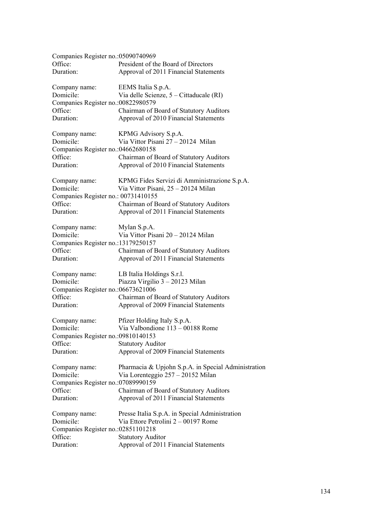| Companies Register no.: 05090740969 |                                                     |
|-------------------------------------|-----------------------------------------------------|
| Office:                             | President of the Board of Directors                 |
| Duration:                           | Approval of 2011 Financial Statements               |
|                                     |                                                     |
| Company name:                       | EEMS Italia S.p.A.                                  |
| Domicile:                           | Via delle Scienze, 5 – Cittaducale (RI)             |
|                                     |                                                     |
| Companies Register no.: 00822980579 |                                                     |
| Office:                             | Chairman of Board of Statutory Auditors             |
| Duration:                           | Approval of 2010 Financial Statements               |
|                                     |                                                     |
| Company name:                       | KPMG Advisory S.p.A.                                |
| Domicile:                           | Via Vittor Pisani 27 - 20124 Milan                  |
| Companies Register no.: 04662680158 |                                                     |
| Office:                             | Chairman of Board of Statutory Auditors             |
| Duration:                           | Approval of 2010 Financial Statements               |
|                                     |                                                     |
| Company name:                       | KPMG Fides Servizi di Amministrazione S.p.A.        |
| Domicile:                           | Via Vittor Pisani, 25 - 20124 Milan                 |
| Companies Register no.: 00731410155 |                                                     |
| Office:                             | Chairman of Board of Statutory Auditors             |
| Duration:                           | Approval of 2011 Financial Statements               |
|                                     |                                                     |
| Company name:                       | Mylan S.p.A.                                        |
| Domicile:                           | Via Vittor Pisani 20 - 20124 Milan                  |
|                                     |                                                     |
| Companies Register no.:13179250157  |                                                     |
| Office:                             | Chairman of Board of Statutory Auditors             |
| Duration:                           | Approval of 2011 Financial Statements               |
|                                     |                                                     |
| Company name:                       | LB Italia Holdings S.r.l.                           |
| Domicile:                           | Piazza Virgilio 3 - 20123 Milan                     |
| Companies Register no.: 06673621006 |                                                     |
| Office:                             | Chairman of Board of Statutory Auditors             |
| Duration:                           | Approval of 2009 Financial Statements               |
|                                     |                                                     |
| Company name:                       | Pfizer Holding Italy S.p.A.                         |
| Domicile:                           | Via Valbondione 113 - 00188 Rome                    |
| Companies Register no.: 09810140153 |                                                     |
| Office:                             | <b>Statutory Auditor</b>                            |
| Duration:                           | Approval of 2009 Financial Statements               |
|                                     |                                                     |
| Company name:                       | Pharmacia & Upjohn S.p.A. in Special Administration |
| Domicile:                           | Via Lorenteggio 257 – 20152 Milan                   |
| Companies Register no.: 07089990159 |                                                     |
| Office:                             | Chairman of Board of Statutory Auditors             |
| Duration:                           | Approval of 2011 Financial Statements               |
|                                     |                                                     |
| Company name:                       | Presse Italia S.p.A. in Special Administration      |
| Domicile:                           | Via Ettore Petrolini 2 – 00197 Rome                 |
| Companies Register no.: 02851101218 |                                                     |
| Office:                             | <b>Statutory Auditor</b>                            |
|                                     |                                                     |
| Duration:                           | Approval of 2011 Financial Statements               |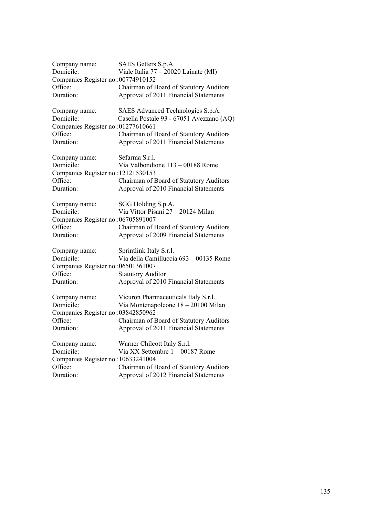| Company name:                       | SAES Getters S.p.A.                      |
|-------------------------------------|------------------------------------------|
| Domicile:                           | Viale Italia $77 - 20020$ Lainate (MI)   |
| Companies Register no.: 00774910152 |                                          |
| Office:                             | Chairman of Board of Statutory Auditors  |
| Duration:                           | Approval of 2011 Financial Statements    |
|                                     |                                          |
| Company name:                       | SAES Advanced Technologies S.p.A.        |
| Domicile:                           | Casella Postale 93 - 67051 Avezzano (AQ) |
| Companies Register no.: 01277610661 |                                          |
| Office:                             | Chairman of Board of Statutory Auditors  |
| Duration:                           | Approval of 2011 Financial Statements    |
| Company name:                       | Sefarma S.r.l.                           |
| Domicile:                           | Via Valbondione 113 - 00188 Rome         |
| Companies Register no.:12121530153  |                                          |
| Office:                             | Chairman of Board of Statutory Auditors  |
| Duration:                           | Approval of 2010 Financial Statements    |
| Company name:                       | SGG Holding S.p.A.                       |
| Domicile:                           | Via Vittor Pisani 27 - 20124 Milan       |
| Companies Register no.: 06705891007 |                                          |
| Office:                             | Chairman of Board of Statutory Auditors  |
| Duration:                           | Approval of 2009 Financial Statements    |
| Company name:                       | Sprintlink Italy S.r.l.                  |
| Domicile:                           | Via della Camilluccia 693 - 00135 Rome   |
| Companies Register no.: 06501361007 |                                          |
| Office:                             | <b>Statutory Auditor</b>                 |
| Duration:                           | Approval of 2010 Financial Statements    |
| Company name:                       | Vicuron Pharmaceuticals Italy S.r.l.     |
| Domicile:                           | Via Montenapoleone 18 - 20100 Milan      |
| Companies Register no.: 03842850962 |                                          |
| Office:                             | Chairman of Board of Statutory Auditors  |
| Duration:                           | Approval of 2011 Financial Statements    |
| Company name:                       | Warner Chilcott Italy S.r.l.             |
| Domicile:                           | Via XX Settembre 1 - 00187 Rome          |
| Companies Register no.: 10633241004 |                                          |
| Office:                             | Chairman of Board of Statutory Auditors  |
| Duration:                           | Approval of 2012 Financial Statements    |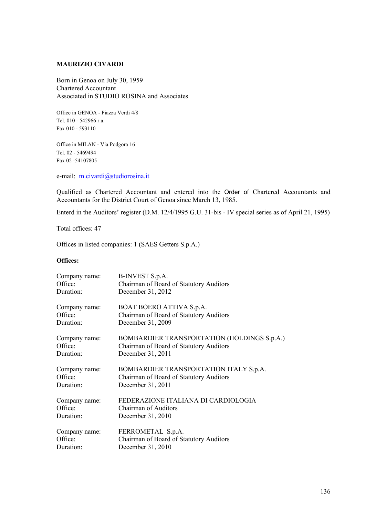## **MAURIZIO CIVARDI**

Born in Genoa on July 30, 1959 Chartered Accountant Associated in STUDIO ROSINA and Associates

Office in GENOA - Piazza Verdi 4/8 Tel. 010 - 542966 r.a. Fax 010 - 593110

Office in MILAN - Via Podgora 16 Tel. 02 - 5469494 Fax 02 -54107805

e-mail: m.civardi@studiorosina.it

Qualified as Chartered Accountant and entered into the Order of Chartered Accountants and Accountants for the District Court of Genoa since March 13, 1985.

Enterd in the Auditors' register (D.M. 12/4/1995 G.U. 31-bis - IV special series as of April 21, 1995)

Total offices: 47

Offices in listed companies: 1 (SAES Getters S.p.A.)

#### **Offices:**

| Company name: | B-INVEST S.p.A.                             |
|---------------|---------------------------------------------|
| Office:       | Chairman of Board of Statutory Auditors     |
| Duration:     | December 31, 2012                           |
| Company name: | BOAT BOERO ATTIVA S.p.A.                    |
| Office:       | Chairman of Board of Statutory Auditors     |
| Duration:     | December 31, 2009                           |
| Company name: | BOMBARDIER TRANSPORTATION (HOLDINGS S.p.A.) |
| Office:       | Chairman of Board of Statutory Auditors     |
| Duration:     | December 31, 2011                           |
| Company name: | BOMBARDIER TRANSPORTATION ITALY S.p.A.      |
| Office:       | Chairman of Board of Statutory Auditors     |
| Duration:     | December 31, 2011                           |
| Company name: | FEDERAZIONE ITALIANA DI CARDIOLOGIA         |
| Office:       | <b>Chairman of Auditors</b>                 |
| Duration:     | December 31, 2010                           |
| Company name: | FERROMETAL S.p.A.                           |
| Office:       | Chairman of Board of Statutory Auditors     |
| Duration:     | December 31, 2010                           |
|               |                                             |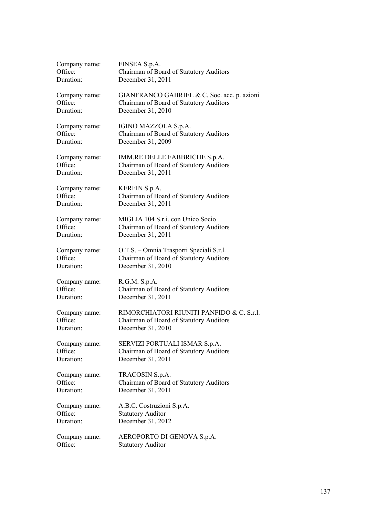| Company name: | FINSEA S.p.A.                               |
|---------------|---------------------------------------------|
| Office:       | Chairman of Board of Statutory Auditors     |
| Duration:     | December 31, 2011                           |
| Company name: | GIANFRANCO GABRIEL & C. Soc. acc. p. azioni |
| Office:       | Chairman of Board of Statutory Auditors     |
| Duration:     | December 31, 2010                           |
| Company name: | IGINO MAZZOLA S.p.A.                        |
| Office:       | Chairman of Board of Statutory Auditors     |
| Duration:     | December 31, 2009                           |
| Company name: | IMM.RE DELLE FABBRICHE S.p.A.               |
| Office:       | Chairman of Board of Statutory Auditors     |
| Duration:     | December 31, 2011                           |
| Company name: | <b>KERFIN S.p.A.</b>                        |
| Office:       | Chairman of Board of Statutory Auditors     |
| Duration:     | December 31, 2011                           |
| Company name: | MIGLIA 104 S.r.i. con Unico Socio           |
| Office:       | Chairman of Board of Statutory Auditors     |
| Duration:     | December 31, 2011                           |
| Company name: | O.T.S. – Omnia Trasporti Speciali S.r.l.    |
| Office:       | Chairman of Board of Statutory Auditors     |
| Duration:     | December 31, 2010                           |
| Company name: | R.G.M. S.p.A.                               |
| Office:       | Chairman of Board of Statutory Auditors     |
| Duration:     | December 31, 2011                           |
| Company name: | RIMORCHIATORI RIUNITI PANFIDO & C. S.r.l.   |
| Office:       | Chairman of Board of Statutory Auditors     |
| Duration:     | December 31, 2010                           |
| Company name: | SERVIZI PORTUALI ISMAR S.p.A.               |
| Office:       | Chairman of Board of Statutory Auditors     |
| Duration:     | December 31, 2011                           |
| Company name: | TRACOSIN S.p.A.                             |
| Office:       | Chairman of Board of Statutory Auditors     |
| Duration:     | December 31, 2011                           |
| Company name: | A.B.C. Costruzioni S.p.A.                   |
| Office:       | <b>Statutory Auditor</b>                    |
| Duration:     | December 31, 2012                           |
| Company name: | AEROPORTO DI GENOVA S.p.A.                  |
| Office:       | <b>Statutory Auditor</b>                    |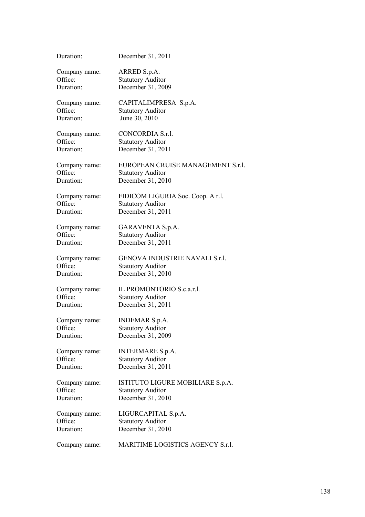| Duration:     | December 31, 2011                     |
|---------------|---------------------------------------|
| Company name: | ARRED S.p.A.                          |
| Office:       | <b>Statutory Auditor</b>              |
| Duration:     | December 31, 2009                     |
| Company name: | CAPITALIMPRESA S.p.A.                 |
| Office:       | <b>Statutory Auditor</b>              |
| Duration:     | June 30, 2010                         |
| Company name: | CONCORDIA S.r.l.                      |
| Office:       | <b>Statutory Auditor</b>              |
| Duration:     | December 31, 2011                     |
| Company name: | EUROPEAN CRUISE MANAGEMENT S.r.l.     |
| Office:       | <b>Statutory Auditor</b>              |
| Duration:     | December 31, 2010                     |
| Company name: | FIDICOM LIGURIA Soc. Coop. A r.l.     |
| Office:       | <b>Statutory Auditor</b>              |
| Duration:     | December 31, 2011                     |
| Company name: | <b>GARAVENTA S.p.A.</b>               |
| Office:       | <b>Statutory Auditor</b>              |
| Duration:     | December 31, 2011                     |
| Company name: | <b>GENOVA INDUSTRIE NAVALI S.r.l.</b> |
| Office:       | <b>Statutory Auditor</b>              |
| Duration:     | December 31, 2010                     |
| Company name: | IL PROMONTORIO S.c.a.r.l.             |
| Office:       | <b>Statutory Auditor</b>              |
| Duration:     | December 31, 2011                     |
| Company name: | <b>INDEMAR S.p.A.</b>                 |
| Office:       | <b>Statutory Auditor</b>              |
| Duration:     | December 31, 2009                     |
| Company name: | <b>INTERMARE S.p.A.</b>               |
| Office:       | <b>Statutory Auditor</b>              |
| Duration:     | December 31, 2011                     |
| Company name: | ISTITUTO LIGURE MOBILIARE S.p.A.      |
| Office:       | <b>Statutory Auditor</b>              |
| Duration:     | December 31, 2010                     |
| Company name: | LIGURCAPITAL S.p.A.                   |
| Office:       | <b>Statutory Auditor</b>              |
| Duration:     | December 31, 2010                     |
| Company name: | MARITIME LOGISTICS AGENCY S.r.l.      |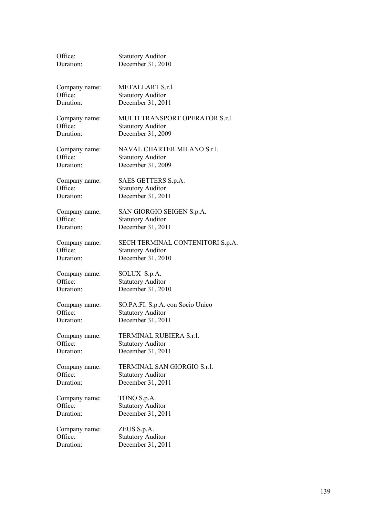| Office:       | <b>Statutory Auditor</b>         |
|---------------|----------------------------------|
| Duration:     | December 31, 2010                |
| Company name: | METALLART S.r.l.                 |
| Office:       | <b>Statutory Auditor</b>         |
| Duration:     | December 31, 2011                |
| Company name: | MULTI TRANSPORT OPERATOR S.r.l.  |
| Office:       | <b>Statutory Auditor</b>         |
| Duration:     | December 31, 2009                |
| Company name: | NAVAL CHARTER MILANO S.r.l.      |
| Office:       | <b>Statutory Auditor</b>         |
| Duration:     | December 31, 2009                |
| Company name: | SAES GETTERS S.p.A.              |
| Office:       | <b>Statutory Auditor</b>         |
| Duration:     | December 31, 2011                |
| Company name: | SAN GIORGIO SEIGEN S.p.A.        |
| Office:       | <b>Statutory Auditor</b>         |
| Duration:     | December 31, 2011                |
| Company name: | SECH TERMINAL CONTENITORI S.p.A. |
| Office:       | <b>Statutory Auditor</b>         |
| Duration:     | December 31, 2010                |
| Company name: | SOLUX S.p.A.                     |
| Office:       | <b>Statutory Auditor</b>         |
| Duration:     | December 31, 2010                |
| Company name: | SO.PA.FI. S.p.A. con Socio Unico |
| Office:       | <b>Statutory Auditor</b>         |
| Duration:     | December 31, 2011                |
| Company name: | TERMINAL RUBIERA S.r.l.          |
| Office:       | <b>Statutory Auditor</b>         |
| Duration:     | December 31, 2011                |
| Company name: | TERMINAL SAN GIORGIO S.r.l.      |
| Office:       | <b>Statutory Auditor</b>         |
| Duration:     | December 31, 2011                |
| Company name: | TONO S.p.A.                      |
| Office:       | <b>Statutory Auditor</b>         |
| Duration:     | December 31, 2011                |
| Company name: | ZEUS S.p.A.                      |
| Office:       | <b>Statutory Auditor</b>         |
| Duration:     | December 31, 2011                |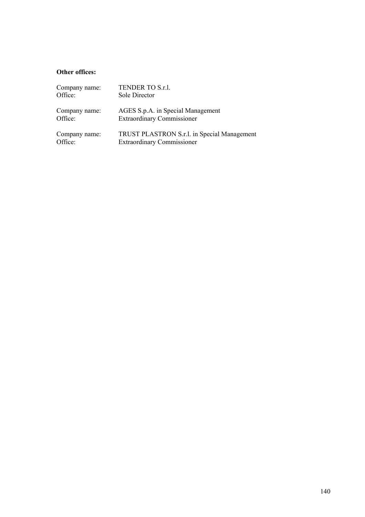## **Other offices:**

| Company name: | TENDER TO S.r.l.                            |
|---------------|---------------------------------------------|
| Office:       | Sole Director                               |
| Company name: | AGES S.p.A. in Special Management           |
| Office:       | <b>Extraordinary Commissioner</b>           |
| Company name: | TRUST PLASTRON S.r.l. in Special Management |
| Office:       | <b>Extraordinary Commissioner</b>           |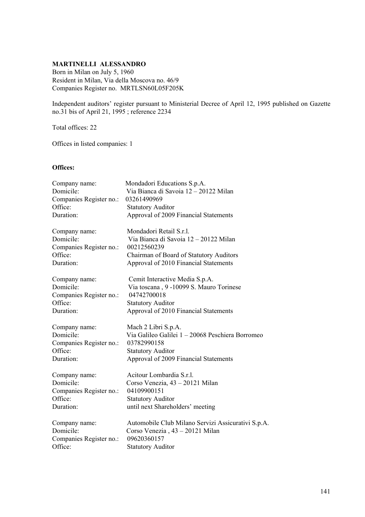## **MARTINELLI ALESSANDRO**

Born in Milan on July 5, 1960 Resident in Milan, Via della Moscova no. 46/9 Companies Register no. MRTLSN60L05F205K

Independent auditors' register pursuant to Ministerial Decree of April 12, 1995 published on Gazette no.31 bis of April 21, 1995 ; reference 2234

Total offices: 22

Offices in listed companies: 1

## **Offices:**

| Company name:           | Mondadori Educations S.p.A.                        |
|-------------------------|----------------------------------------------------|
| Domicile:               | Via Bianca di Savoia 12 - 20122 Milan              |
| Companies Register no.: | 03261490969                                        |
| Office:                 | <b>Statutory Auditor</b>                           |
| Duration:               | Approval of 2009 Financial Statements              |
| Company name:           | Mondadori Retail S.r.l.                            |
| Domicile:               | Via Bianca di Savoia 12 - 20122 Milan              |
| Companies Register no.: | 00212560239                                        |
| Office:                 | Chairman of Board of Statutory Auditors            |
| Duration:               | Approval of 2010 Financial Statements              |
| Company name:           | Cemit Interactive Media S.p.A.                     |
| Domicile:               | Via toscana, 9 -10099 S. Mauro Torinese            |
| Companies Register no.: | 04742700018                                        |
| Office:                 | <b>Statutory Auditor</b>                           |
| Duration:               | Approval of 2010 Financial Statements              |
| Company name:           | Mach 2 Libri S.p.A.                                |
| Domicile:               | Via Galileo Galilei 1 - 20068 Peschiera Borromeo   |
| Companies Register no.: | 03782990158                                        |
| Office:                 | <b>Statutory Auditor</b>                           |
| Duration:               | Approval of 2009 Financial Statements              |
| Company name:           | Acitour Lombardia S.r.l.                           |
| Domicile:               | Corso Venezia, 43 - 20121 Milan                    |
| Companies Register no.: | 04109900151                                        |
| Office:                 | <b>Statutory Auditor</b>                           |
| Duration:               | until next Shareholders' meeting                   |
| Company name:           | Automobile Club Milano Servizi Assicurativi S.p.A. |
| Domicile:               | Corso Venezia, 43 - 20121 Milan                    |
| Companies Register no.: | 09620360157                                        |
| Office:                 | <b>Statutory Auditor</b>                           |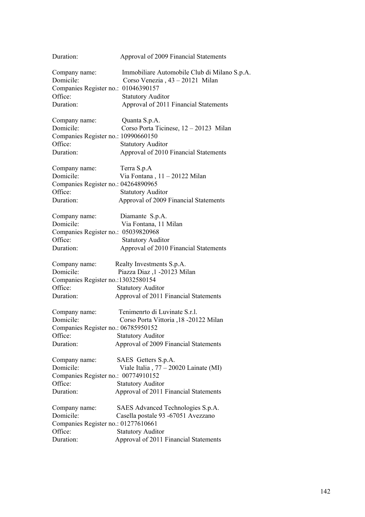| Duration:                                      | Approval of 2009 Financial Statements                                           |
|------------------------------------------------|---------------------------------------------------------------------------------|
| Company name:<br>Domicile:                     | Immobiliare Automobile Club di Milano S.p.A.<br>Corso Venezia, 43 - 20121 Milan |
| Companies Register no.: 01046390157<br>Office: |                                                                                 |
| Duration:                                      | <b>Statutory Auditor</b>                                                        |
|                                                | Approval of 2011 Financial Statements                                           |
| Company name:                                  | Quanta S.p.A.                                                                   |
| Domicile:                                      | Corso Porta Ticinese, 12 - 20123 Milan                                          |
| Companies Register no.: 10990660150            |                                                                                 |
| Office:                                        | <b>Statutory Auditor</b>                                                        |
| Duration:                                      | Approval of 2010 Financial Statements                                           |
| Company name:                                  | Terra S.p.A                                                                     |
| Domicile:                                      | Via Fontana, $11 - 20122$ Milan                                                 |
| Companies Register no.: 04264890965            |                                                                                 |
| Office:                                        | <b>Statutory Auditor</b>                                                        |
| Duration:                                      | Approval of 2009 Financial Statements                                           |
| Company name:                                  | Diamante S.p.A.                                                                 |
| Domicile:                                      | Via Fontana, 11 Milan                                                           |
| Companies Register no.: 05039820968            |                                                                                 |
| Office:                                        | <b>Statutory Auditor</b>                                                        |
| Duration:                                      | Approval of 2010 Financial Statements                                           |
| Company name:                                  | Realty Investments S.p.A.                                                       |
| Domicile:                                      | Piazza Diaz ,1 -20123 Milan                                                     |
| Companies Register no.:13032580154             |                                                                                 |
| Office:                                        | <b>Statutory Auditor</b>                                                        |
| Duration:                                      | Approval of 2011 Financial Statements                                           |
| Company name:                                  | Tenimenrto di Luvinate S.r.l.                                                   |
| Domicile:                                      | Corso Porta Vittoria , 18 - 20122 Milan                                         |
| Companies Register no.: 06785950152            |                                                                                 |
| Office:                                        | <b>Statutory Auditor</b>                                                        |
| Duration:                                      | Approval of 2009 Financial Statements                                           |
| Company name:                                  | SAES Getters S.p.A.                                                             |
| Domicile:                                      | Viale Italia, 77 - 20020 Lainate (MI)                                           |
| Companies Register no.: 00774910152            |                                                                                 |
| Office:                                        | <b>Statutory Auditor</b>                                                        |
| Duration:                                      | Approval of 2011 Financial Statements                                           |
| Company name:                                  | SAES Advanced Technologies S.p.A.                                               |
| Domicile:                                      | Casella postale 93 -67051 Avezzano                                              |
| Companies Register no.: 01277610661            |                                                                                 |
| Office:                                        | <b>Statutory Auditor</b>                                                        |
| Duration:                                      | Approval of 2011 Financial Statements                                           |
|                                                |                                                                                 |